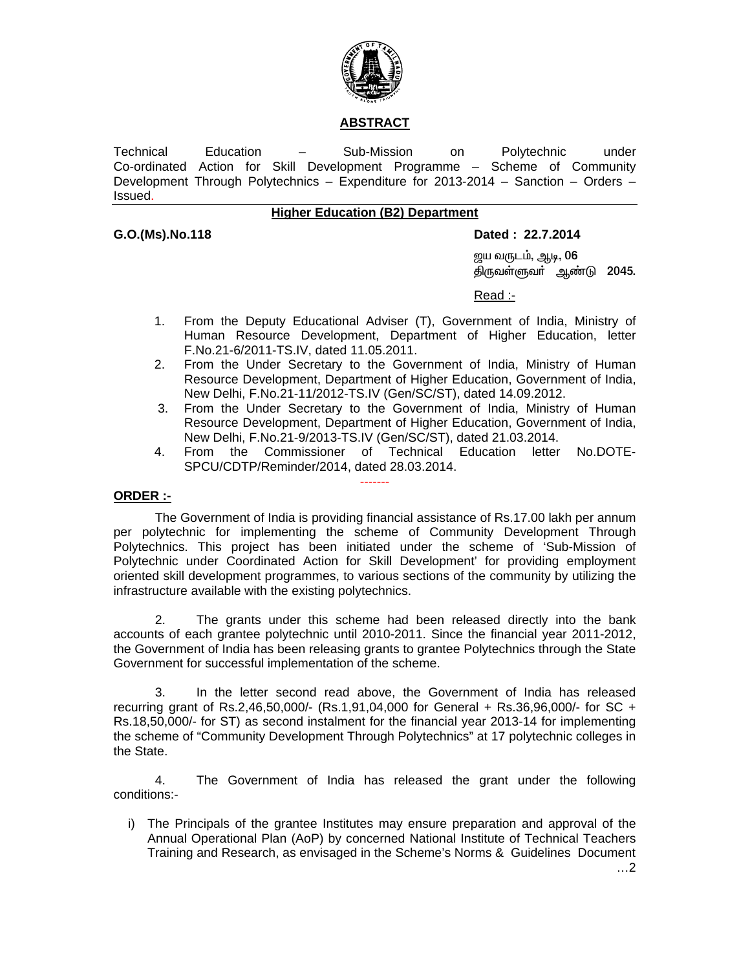

#### **ABSTRACT**

Technical Education – Sub-Mission on Polytechnic under Co-ordinated Action for Skill Development Programme – Scheme of Community Development Through Polytechnics – Expenditure for 2013-2014 – Sanction – Orders – Issued.

### **Higher Education (B2) Department**

#### **G.O.(Ms).No.118 Dated : 22.7.2014**

<u>ஜ</u>ய வருடம், ஆடி, 06 திருவள்ளுவர் ஆண்டு 2045.

<u>Read :- Album and the second second second second second second second second second second second second second second second second second second second second second second second second second second second second sec</u>

- 1. From the Deputy Educational Adviser (T), Government of India, Ministry of Human Resource Development, Department of Higher Education, letter F.No.21-6/2011-TS.IV, dated 11.05.2011.
- 2. From the Under Secretary to the Government of India, Ministry of Human Resource Development, Department of Higher Education, Government of India, New Delhi, F.No.21-11/2012-TS.IV (Gen/SC/ST), dated 14.09.2012.
- 3. From the Under Secretary to the Government of India, Ministry of Human Resource Development, Department of Higher Education, Government of India, New Delhi, F.No.21-9/2013-TS.IV (Gen/SC/ST), dated 21.03.2014.
- 4. From the Commissioner of Technical Education letter No.DOTE-SPCU/CDTP/Reminder/2014, dated 28.03.2014.

#### **ORDER :-**

 The Government of India is providing financial assistance of Rs.17.00 lakh per annum per polytechnic for implementing the scheme of Community Development Through Polytechnics. This project has been initiated under the scheme of 'Sub-Mission of Polytechnic under Coordinated Action for Skill Development' for providing employment oriented skill development programmes, to various sections of the community by utilizing the infrastructure available with the existing polytechnics.

-------

 2. The grants under this scheme had been released directly into the bank accounts of each grantee polytechnic until 2010-2011. Since the financial year 2011-2012, the Government of India has been releasing grants to grantee Polytechnics through the State Government for successful implementation of the scheme.

 3. In the letter second read above, the Government of India has released recurring grant of Rs.2,46,50,000/- (Rs.1,91,04,000 for General + Rs.36,96,000/- for SC + Rs.18,50,000/- for ST) as second instalment for the financial year 2013-14 for implementing the scheme of "Community Development Through Polytechnics" at 17 polytechnic colleges in the State.

 4. The Government of India has released the grant under the following conditions:-

i) The Principals of the grantee Institutes may ensure preparation and approval of the Annual Operational Plan (AoP) by concerned National Institute of Technical Teachers Training and Research, as envisaged in the Scheme's Norms & Guidelines Document

…2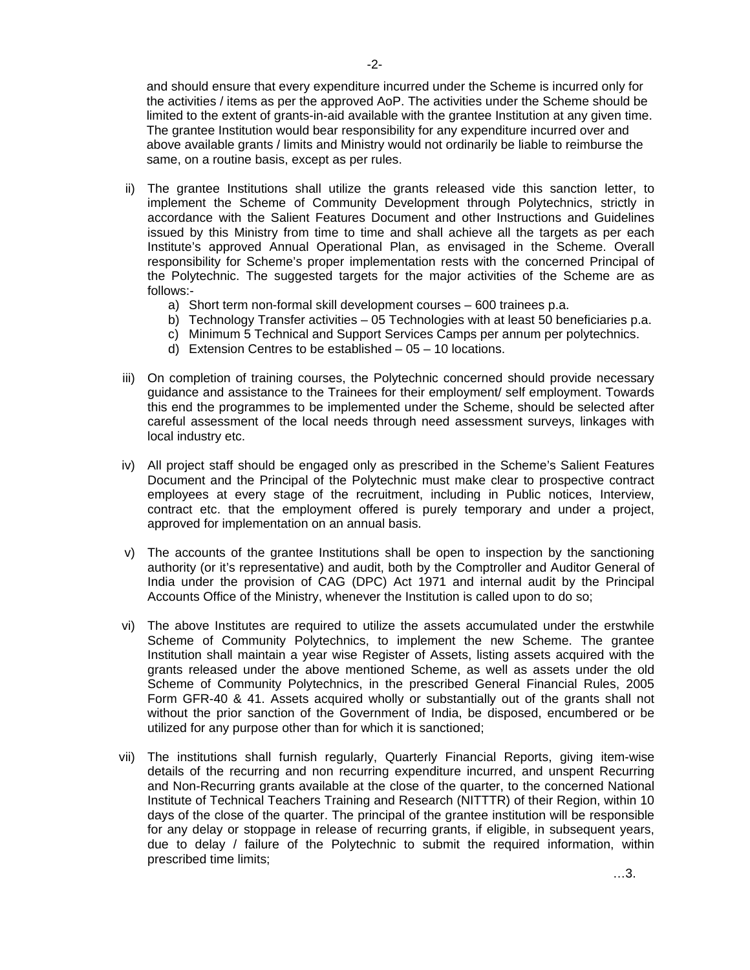and should ensure that every expenditure incurred under the Scheme is incurred only for the activities / items as per the approved AoP. The activities under the Scheme should be limited to the extent of grants-in-aid available with the grantee Institution at any given time. The grantee Institution would bear responsibility for any expenditure incurred over and above available grants / limits and Ministry would not ordinarily be liable to reimburse the same, on a routine basis, except as per rules.

- ii) The grantee Institutions shall utilize the grants released vide this sanction letter, to implement the Scheme of Community Development through Polytechnics, strictly in accordance with the Salient Features Document and other Instructions and Guidelines issued by this Ministry from time to time and shall achieve all the targets as per each Institute's approved Annual Operational Plan, as envisaged in the Scheme. Overall responsibility for Scheme's proper implementation rests with the concerned Principal of the Polytechnic. The suggested targets for the major activities of the Scheme are as follows:
	- a) Short term non-formal skill development courses 600 trainees p.a.
	- b) Technology Transfer activities 05 Technologies with at least 50 beneficiaries p.a.
	- c) Minimum 5 Technical and Support Services Camps per annum per polytechnics.
	- d) Extension Centres to be established 05 10 locations.
- iii) On completion of training courses, the Polytechnic concerned should provide necessary guidance and assistance to the Trainees for their employment/ self employment. Towards this end the programmes to be implemented under the Scheme, should be selected after careful assessment of the local needs through need assessment surveys, linkages with local industry etc.
- iv) All project staff should be engaged only as prescribed in the Scheme's Salient Features Document and the Principal of the Polytechnic must make clear to prospective contract employees at every stage of the recruitment, including in Public notices, Interview, contract etc. that the employment offered is purely temporary and under a project, approved for implementation on an annual basis.
- v) The accounts of the grantee Institutions shall be open to inspection by the sanctioning authority (or it's representative) and audit, both by the Comptroller and Auditor General of India under the provision of CAG (DPC) Act 1971 and internal audit by the Principal Accounts Office of the Ministry, whenever the Institution is called upon to do so;
- vi) The above Institutes are required to utilize the assets accumulated under the erstwhile Scheme of Community Polytechnics, to implement the new Scheme. The grantee Institution shall maintain a year wise Register of Assets, listing assets acquired with the grants released under the above mentioned Scheme, as well as assets under the old Scheme of Community Polytechnics, in the prescribed General Financial Rules, 2005 Form GFR-40 & 41. Assets acquired wholly or substantially out of the grants shall not without the prior sanction of the Government of India, be disposed, encumbered or be utilized for any purpose other than for which it is sanctioned;
- vii) The institutions shall furnish regularly, Quarterly Financial Reports, giving item-wise details of the recurring and non recurring expenditure incurred, and unspent Recurring and Non-Recurring grants available at the close of the quarter, to the concerned National Institute of Technical Teachers Training and Research (NITTTR) of their Region, within 10 days of the close of the quarter. The principal of the grantee institution will be responsible for any delay or stoppage in release of recurring grants, if eligible, in subsequent years, due to delay / failure of the Polytechnic to submit the required information, within prescribed time limits;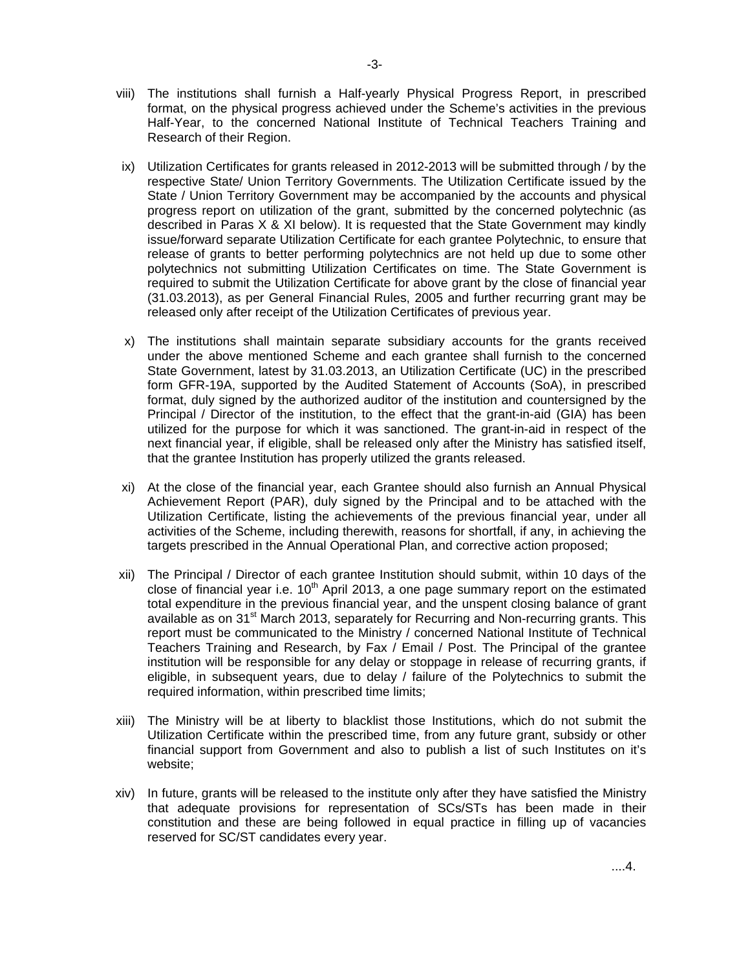- viii) The institutions shall furnish a Half-yearly Physical Progress Report, in prescribed format, on the physical progress achieved under the Scheme's activities in the previous Half-Year, to the concerned National Institute of Technical Teachers Training and Research of their Region.
- ix) Utilization Certificates for grants released in 2012-2013 will be submitted through / by the respective State/ Union Territory Governments. The Utilization Certificate issued by the State / Union Territory Government may be accompanied by the accounts and physical progress report on utilization of the grant, submitted by the concerned polytechnic (as described in Paras X & XI below). It is requested that the State Government may kindly issue/forward separate Utilization Certificate for each grantee Polytechnic, to ensure that release of grants to better performing polytechnics are not held up due to some other polytechnics not submitting Utilization Certificates on time. The State Government is required to submit the Utilization Certificate for above grant by the close of financial year (31.03.2013), as per General Financial Rules, 2005 and further recurring grant may be released only after receipt of the Utilization Certificates of previous year.
- x) The institutions shall maintain separate subsidiary accounts for the grants received under the above mentioned Scheme and each grantee shall furnish to the concerned State Government, latest by 31.03.2013, an Utilization Certificate (UC) in the prescribed form GFR-19A, supported by the Audited Statement of Accounts (SoA), in prescribed format, duly signed by the authorized auditor of the institution and countersigned by the Principal / Director of the institution, to the effect that the grant-in-aid (GIA) has been utilized for the purpose for which it was sanctioned. The grant-in-aid in respect of the next financial year, if eligible, shall be released only after the Ministry has satisfied itself, that the grantee Institution has properly utilized the grants released.
- xi) At the close of the financial year, each Grantee should also furnish an Annual Physical Achievement Report (PAR), duly signed by the Principal and to be attached with the Utilization Certificate, listing the achievements of the previous financial year, under all activities of the Scheme, including therewith, reasons for shortfall, if any, in achieving the targets prescribed in the Annual Operational Plan, and corrective action proposed;
- xii) The Principal / Director of each grantee Institution should submit, within 10 days of the close of financial year i.e.  $10<sup>th</sup>$  April 2013, a one page summary report on the estimated total expenditure in the previous financial year, and the unspent closing balance of grant available as on 31<sup>st</sup> March 2013, separately for Recurring and Non-recurring grants. This report must be communicated to the Ministry / concerned National Institute of Technical Teachers Training and Research, by Fax / Email / Post. The Principal of the grantee institution will be responsible for any delay or stoppage in release of recurring grants, if eligible, in subsequent years, due to delay / failure of the Polytechnics to submit the required information, within prescribed time limits;
- xiii) The Ministry will be at liberty to blacklist those Institutions, which do not submit the Utilization Certificate within the prescribed time, from any future grant, subsidy or other financial support from Government and also to publish a list of such Institutes on it's website;
- xiv) In future, grants will be released to the institute only after they have satisfied the Ministry that adequate provisions for representation of SCs/STs has been made in their constitution and these are being followed in equal practice in filling up of vacancies reserved for SC/ST candidates every year.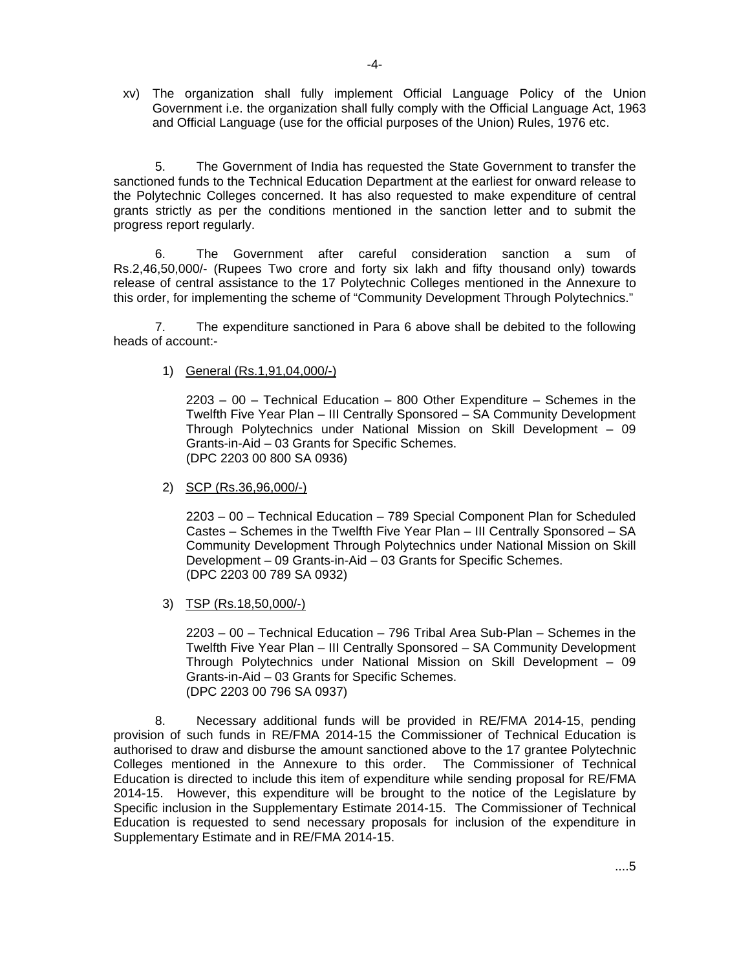xv) The organization shall fully implement Official Language Policy of the Union Government i.e. the organization shall fully comply with the Official Language Act, 1963 and Official Language (use for the official purposes of the Union) Rules, 1976 etc.

 5. The Government of India has requested the State Government to transfer the sanctioned funds to the Technical Education Department at the earliest for onward release to the Polytechnic Colleges concerned. It has also requested to make expenditure of central grants strictly as per the conditions mentioned in the sanction letter and to submit the progress report regularly.

 6. The Government after careful consideration sanction a sum of Rs.2,46,50,000/- (Rupees Two crore and forty six lakh and fifty thousand only) towards release of central assistance to the 17 Polytechnic Colleges mentioned in the Annexure to this order, for implementing the scheme of "Community Development Through Polytechnics."

 7. The expenditure sanctioned in Para 6 above shall be debited to the following heads of account:-

1) General (Rs.1,91,04,000/-)

 2203 – 00 – Technical Education – 800 Other Expenditure – Schemes in the Twelfth Five Year Plan – III Centrally Sponsored – SA Community Development Through Polytechnics under National Mission on Skill Development – 09 Grants-in-Aid – 03 Grants for Specific Schemes. (DPC 2203 00 800 SA 0936)

2) SCP (Rs.36,96,000/-)

 2203 – 00 – Technical Education – 789 Special Component Plan for Scheduled Castes – Schemes in the Twelfth Five Year Plan – III Centrally Sponsored – SA Community Development Through Polytechnics under National Mission on Skill Development – 09 Grants-in-Aid – 03 Grants for Specific Schemes. (DPC 2203 00 789 SA 0932)

3) TSP (Rs.18,50,000/-)

 2203 – 00 – Technical Education – 796 Tribal Area Sub-Plan – Schemes in the Twelfth Five Year Plan – III Centrally Sponsored – SA Community Development Through Polytechnics under National Mission on Skill Development – 09 Grants-in-Aid – 03 Grants for Specific Schemes. (DPC 2203 00 796 SA 0937)

8. Necessary additional funds will be provided in RE/FMA 2014-15, pending provision of such funds in RE/FMA 2014-15 the Commissioner of Technical Education is authorised to draw and disburse the amount sanctioned above to the 17 grantee Polytechnic Colleges mentioned in the Annexure to this order. The Commissioner of Technical Education is directed to include this item of expenditure while sending proposal for RE/FMA 2014-15. However, this expenditure will be brought to the notice of the Legislature by Specific inclusion in the Supplementary Estimate 2014-15. The Commissioner of Technical Education is requested to send necessary proposals for inclusion of the expenditure in Supplementary Estimate and in RE/FMA 2014-15.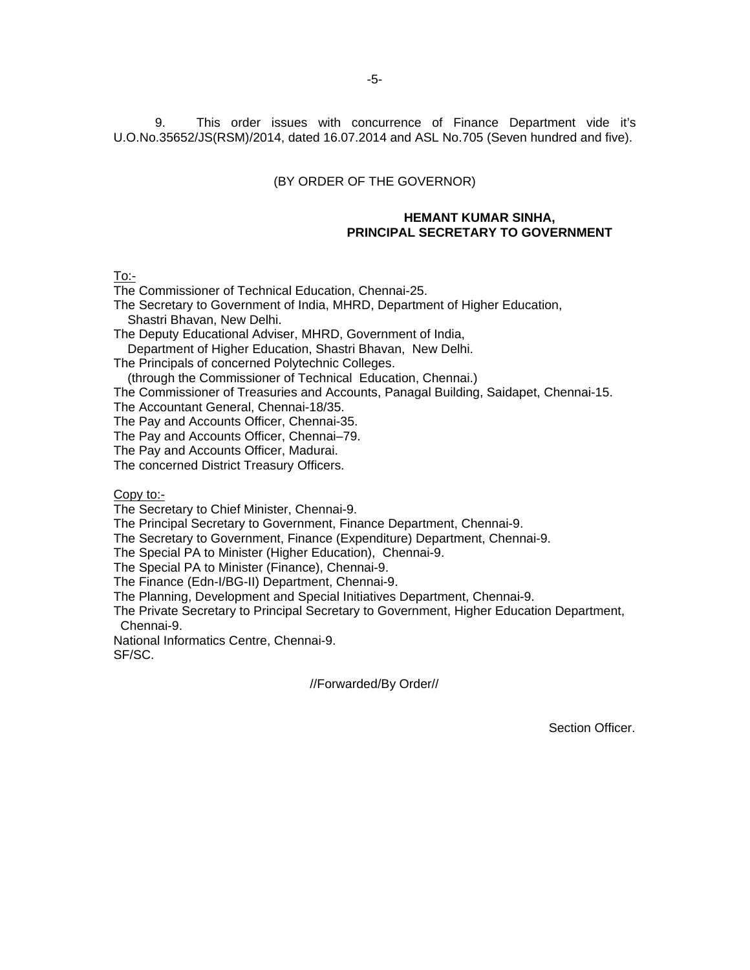9. This order issues with concurrence of Finance Department vide it's U.O.No.35652/JS(RSM)/2014, dated 16.07.2014 and ASL No.705 (Seven hundred and five).

#### (BY ORDER OF THE GOVERNOR)

#### **HEMANT KUMAR SINHA, PRINCIPAL SECRETARY TO GOVERNMENT**

To:-

The Commissioner of Technical Education, Chennai-25.

The Secretary to Government of India, MHRD, Department of Higher Education, Shastri Bhavan, New Delhi.

The Deputy Educational Adviser, MHRD, Government of India,

Department of Higher Education, Shastri Bhavan, New Delhi.

The Principals of concerned Polytechnic Colleges.

(through the Commissioner of Technical Education, Chennai.)

The Commissioner of Treasuries and Accounts, Panagal Building, Saidapet, Chennai-15.

The Accountant General, Chennai-18/35.

The Pay and Accounts Officer, Chennai-35.

The Pay and Accounts Officer, Chennai–79.

The Pay and Accounts Officer, Madurai.

The concerned District Treasury Officers.

Copy to:-

The Secretary to Chief Minister, Chennai-9.

The Principal Secretary to Government, Finance Department, Chennai-9.

The Secretary to Government, Finance (Expenditure) Department, Chennai-9.

The Special PA to Minister (Higher Education), Chennai-9.

The Special PA to Minister (Finance), Chennai-9.

The Finance (Edn-I/BG-II) Department, Chennai-9.

The Planning, Development and Special Initiatives Department, Chennai-9.

The Private Secretary to Principal Secretary to Government, Higher Education Department, Chennai-9.

National Informatics Centre, Chennai-9.

SF/SC.

//Forwarded/By Order//

Section Officer.